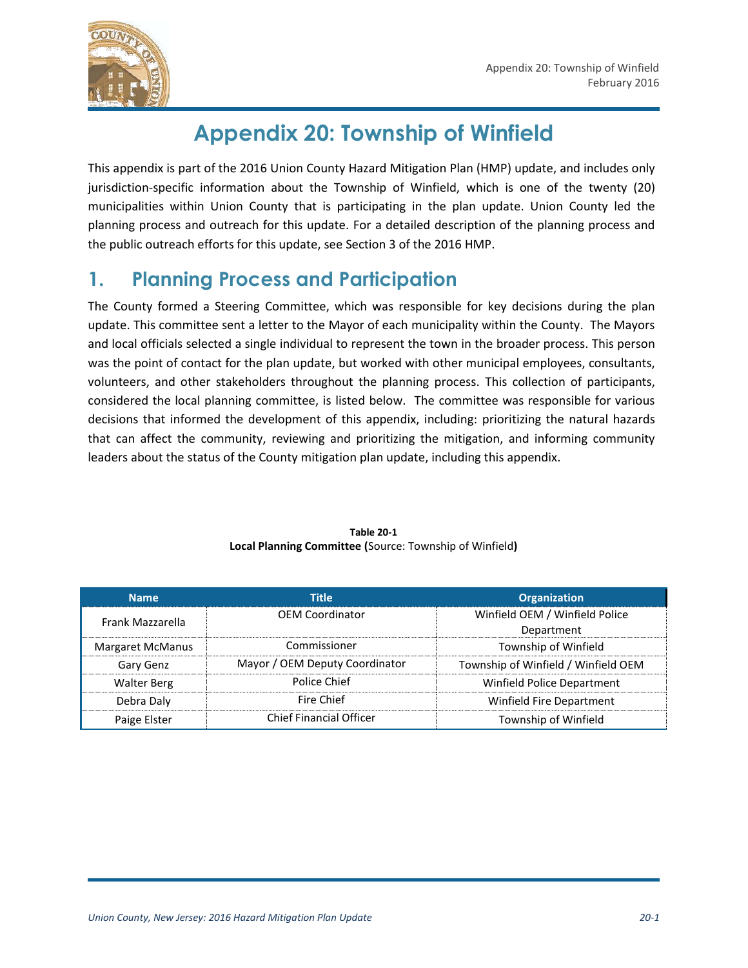

# **Appendix 20: Township of Winfield**

This appendix is part of the 2016 Union County Hazard Mitigation Plan (HMP) update, and includes only jurisdiction-specific information about the Township of Winfield, which is one of the twenty (20) municipalities within Union County that is participating in the plan update. Union County led the planning process and outreach for this update. For a detailed description of the planning process and the public outreach efforts for this update, see Section 3 of the 2016 HMP.

# **1. Planning Process and Participation**

The County formed a Steering Committee, which was responsible for key decisions during the plan update. This committee sent a letter to the Mayor of each municipality within the County. The Mayors and local officials selected a single individual to represent the town in the broader process. This person was the point of contact for the plan update, but worked with other municipal employees, consultants, volunteers, and other stakeholders throughout the planning process. This collection of participants, considered the local planning committee, is listed below. The committee was responsible for various decisions that informed the development of this appendix, including: prioritizing the natural hazards that can affect the community, reviewing and prioritizing the mitigation, and informing community leaders about the status of the County mitigation plan update, including this appendix.

| <b>Name</b>        | <b>Title</b>                   | <b>Organization</b>                 |
|--------------------|--------------------------------|-------------------------------------|
| Frank Mazzarella   | <b>OEM Coordinator</b>         | Winfield OEM / Winfield Police      |
|                    |                                | Department                          |
| Margaret McManus   | Commissioner                   | Township of Winfield                |
| Gary Genz          | Mayor / OEM Deputy Coordinator | Township of Winfield / Winfield OEM |
| <b>Walter Berg</b> | Police Chief                   | Winfield Police Department          |
| Debra Daly         | Fire Chief                     | Winfield Fire Department            |
| Paige Elster       | <b>Chief Financial Officer</b> | Township of Winfield                |

**Table 20-1 Local Planning Committee (**Source: Township of Winfield**)**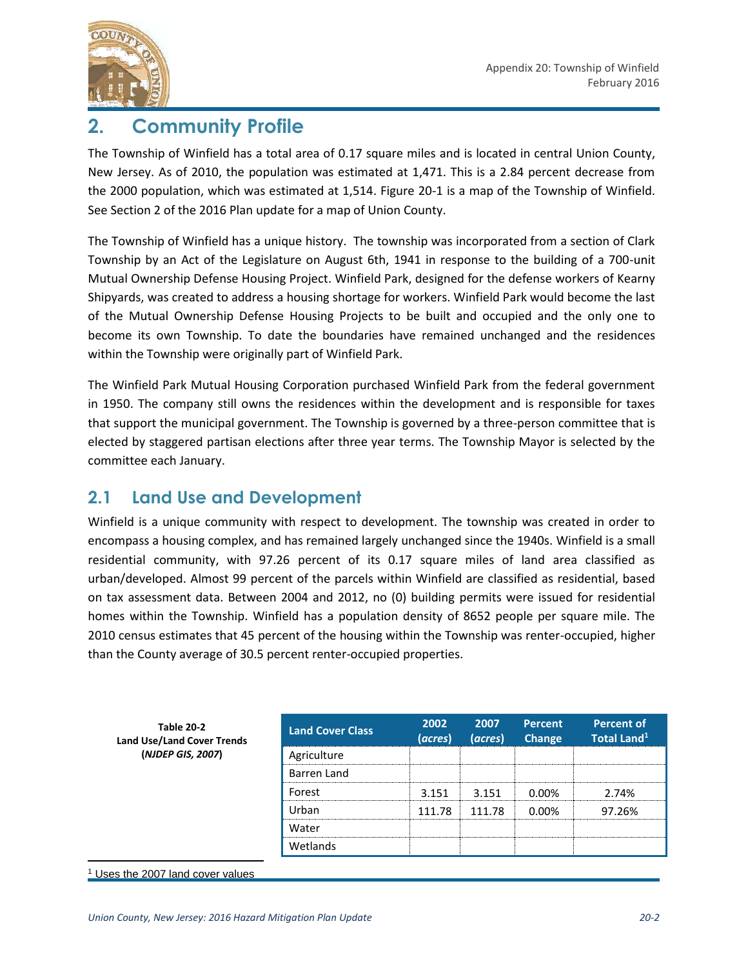

# **2. Community Profile**

The Township of Winfield has a total area of 0.17 square miles and is located in central Union County, New Jersey. As of 2010, the population was estimated at 1,471. This is a 2.84 percent decrease from the 2000 population, which was estimated at 1,514. Figure 20-1 is a map of the Township of Winfield. See Section 2 of the 2016 Plan update for a map of Union County.

The Township of Winfield has a unique history. The township was incorporated from a section of Clark Township by an Act of the Legislature on August 6th, 1941 in response to the building of a 700-unit Mutual Ownership Defense Housing Project. Winfield Park, designed for the defense workers of Kearny Shipyards, was created to address a housing shortage for workers. Winfield Park would become the last of the Mutual Ownership Defense Housing Projects to be built and occupied and the only one to become its own Township. To date the boundaries have remained unchanged and the residences within the Township were originally part of Winfield Park.

The Winfield Park Mutual Housing Corporation purchased Winfield Park from the federal government in 1950. The company still owns the residences within the development and is responsible for taxes that support the municipal government. The Township is governed by a three-person committee that is elected by staggered partisan elections after three year terms. The Township Mayor is selected by the committee each January.

### **2.1 Land Use and Development**

Winfield is a unique community with respect to development. The township was created in order to encompass a housing complex, and has remained largely unchanged since the 1940s. Winfield is a small residential community, with 97.26 percent of its 0.17 square miles of land area classified as urban/developed. Almost 99 percent of the parcels within Winfield are classified as residential, based on tax assessment data. Between 2004 and 2012, no (0) building permits were issued for residential homes within the Township. Winfield has a population density of 8652 people per square mile. The 2010 census estimates that 45 percent of the housing within the Township was renter-occupied, higher than the County average of 30.5 percent renter-occupied properties.

| <b>Table 20-2</b><br><b>Land Use/Land Cover Trends</b> | <b>Land Cover Class</b> | 2002<br>(acres) | 2007<br>(acres) | <b>Percent</b><br>Change | <b>Percent of</b><br>Total Land <sup>1</sup> |
|--------------------------------------------------------|-------------------------|-----------------|-----------------|--------------------------|----------------------------------------------|
| (NJDEP GIS, 2007)                                      | Agriculture             |                 |                 |                          |                                              |
|                                                        | Barren Land             |                 |                 |                          |                                              |
|                                                        | Forest                  | 3.151           | 3.151           | 0.00%                    | 2.74%                                        |
|                                                        | Urban                   | 111.78          | 111.78          | 0.00%                    | 97.26%                                       |
|                                                        | Water                   |                 |                 |                          |                                              |
|                                                        | Wetlands                |                 |                 |                          |                                              |

#### <sup>1</sup> Uses the 2007 land cover values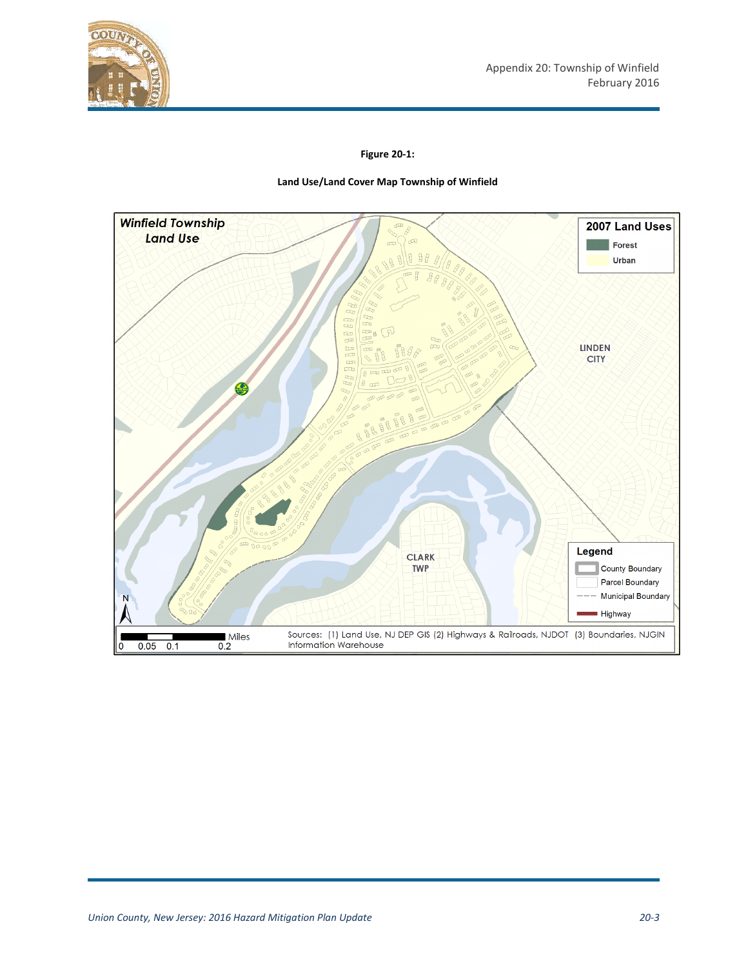

#### **Figure 20-1:**

#### **Land Use/Land Cover Map Township of Winfield**

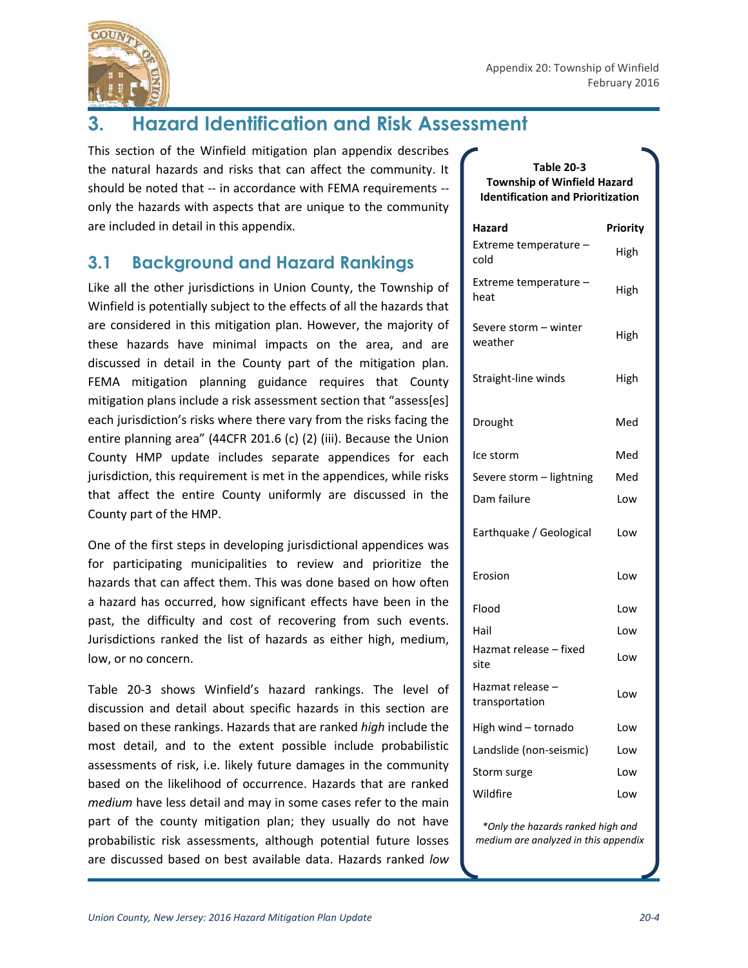

# **3. Hazard Identification and Risk Assessment**

This section of the Winfield mitigation plan appendix describes the natural hazards and risks that can affect the community. It should be noted that -- in accordance with FEMA requirements - only the hazards with aspects that are unique to the community are included in detail in this appendix.

## **3.1 Background and Hazard Rankings**

Like all the other jurisdictions in Union County, the Township of Winfield is potentially subject to the effects of all the hazards that are considered in this mitigation plan. However, the majority of these hazards have minimal impacts on the area, and are discussed in detail in the County part of the mitigation plan. FEMA mitigation planning guidance requires that County mitigation plans include a risk assessment section that "assess[es] each jurisdiction's risks where there vary from the risks facing the entire planning area" (44CFR 201.6 (c) (2) (iii). Because the Union County HMP update includes separate appendices for each jurisdiction, this requirement is met in the appendices, while risks that affect the entire County uniformly are discussed in the County part of the HMP.

One of the first steps in developing jurisdictional appendices was for participating municipalities to review and prioritize the hazards that can affect them. This was done based on how often a hazard has occurred, how significant effects have been in the past, the difficulty and cost of recovering from such events. Jurisdictions ranked the list of hazards as either high, medium, low, or no concern.

Table 20-3 shows Winfield's hazard rankings. The level of discussion and detail about specific hazards in this section are based on these rankings. Hazards that are ranked *high* include the most detail, and to the extent possible include probabilistic assessments of risk, i.e. likely future damages in the community based on the likelihood of occurrence. Hazards that are ranked *medium* have less detail and may in some cases refer to the main part of the county mitigation plan; they usually do not have probabilistic risk assessments, although potential future losses are discussed based on best available data. Hazards ranked *low* 

#### **Table 20-3 Township of Winfield Hazard Identification and Prioritization**

| Hazard                             | Priority |
|------------------------------------|----------|
| Extreme temperature -<br>cold      | High     |
| Extreme temperature -<br>heat      | High     |
| Severe storm - winter<br>weather   | High     |
| Straight-line winds                | High     |
| Drought                            | Med      |
| Ice storm                          | Med      |
| Severe storm - lightning           | Med      |
| Dam failure                        | Low      |
| Earthquake / Geological            | Low      |
| Erosion                            | Low      |
| Flood                              | Low      |
| Hail                               | Low      |
| Hazmat release – fixed<br>site     | Low      |
| Hazmat release -<br>transportation | Low      |
| High wind - tornado                | Low      |
| Landslide (non-seismic)            | Low      |
| Storm surge                        | Low      |
| Wildfire                           | Low      |

*\*Only the hazards ranked high and medium are analyzed in this appendix*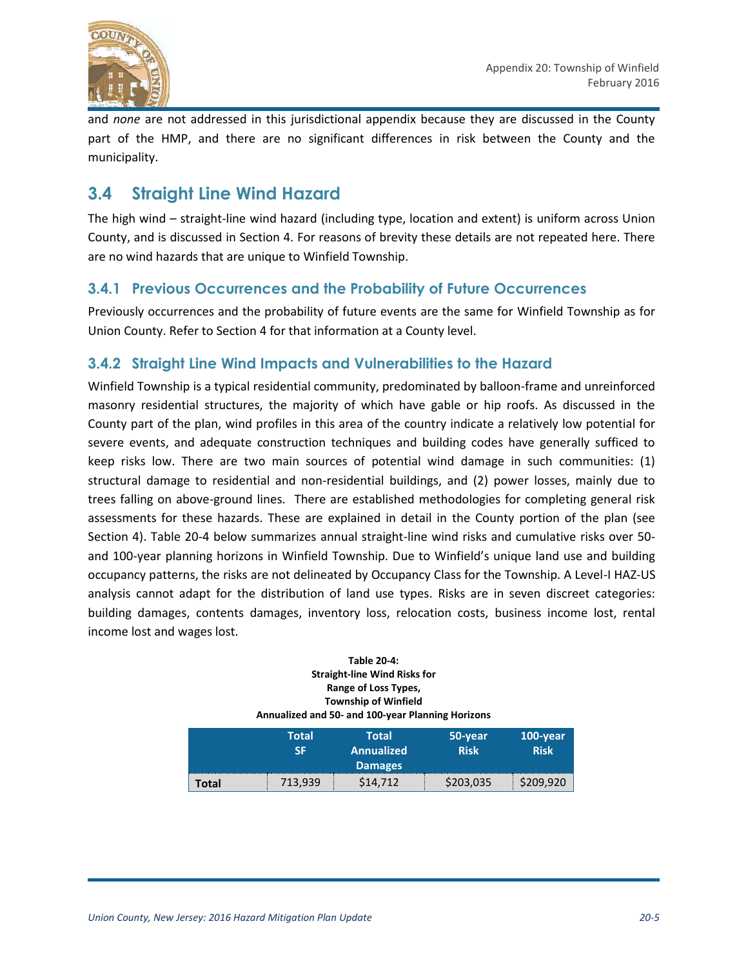

and *none* are not addressed in this jurisdictional appendix because they are discussed in the County part of the HMP, and there are no significant differences in risk between the County and the municipality.

## **3.4 Straight Line Wind Hazard**

The high wind – straight-line wind hazard (including type, location and extent) is uniform across Union County, and is discussed in Section 4. For reasons of brevity these details are not repeated here. There are no wind hazards that are unique to Winfield Township.

### **3.4.1 Previous Occurrences and the Probability of Future Occurrences**

Previously occurrences and the probability of future events are the same for Winfield Township as for Union County. Refer to Section 4 for that information at a County level.

### **3.4.2 Straight Line Wind Impacts and Vulnerabilities to the Hazard**

Winfield Township is a typical residential community, predominated by balloon-frame and unreinforced masonry residential structures, the majority of which have gable or hip roofs. As discussed in the County part of the plan, wind profiles in this area of the country indicate a relatively low potential for severe events, and adequate construction techniques and building codes have generally sufficed to keep risks low. There are two main sources of potential wind damage in such communities: (1) structural damage to residential and non-residential buildings, and (2) power losses, mainly due to trees falling on above-ground lines. There are established methodologies for completing general risk assessments for these hazards. These are explained in detail in the County portion of the plan (see Section 4). Table 20-4 below summarizes annual straight-line wind risks and cumulative risks over 50 and 100-year planning horizons in Winfield Township. Due to Winfield's unique land use and building occupancy patterns, the risks are not delineated by Occupancy Class for the Township. A Level-I HAZ-US analysis cannot adapt for the distribution of land use types. Risks are in seven discreet categories: building damages, contents damages, inventory loss, relocation costs, business income lost, rental income lost and wages lost.

#### **Table 20-4: Straight-line Wind Risks for Range of Loss Types, Township of Winfield Annualized and 50- and 100-year Planning Horizons**

|       | Total<br>ςг | Total<br>Annualized<br><b>Damages</b> | 50-year<br><b>Risk</b> | 100-year<br><b>Risk</b> |
|-------|-------------|---------------------------------------|------------------------|-------------------------|
| Total | 713,939     | \$14,712                              | \$203,035              | \$209,920               |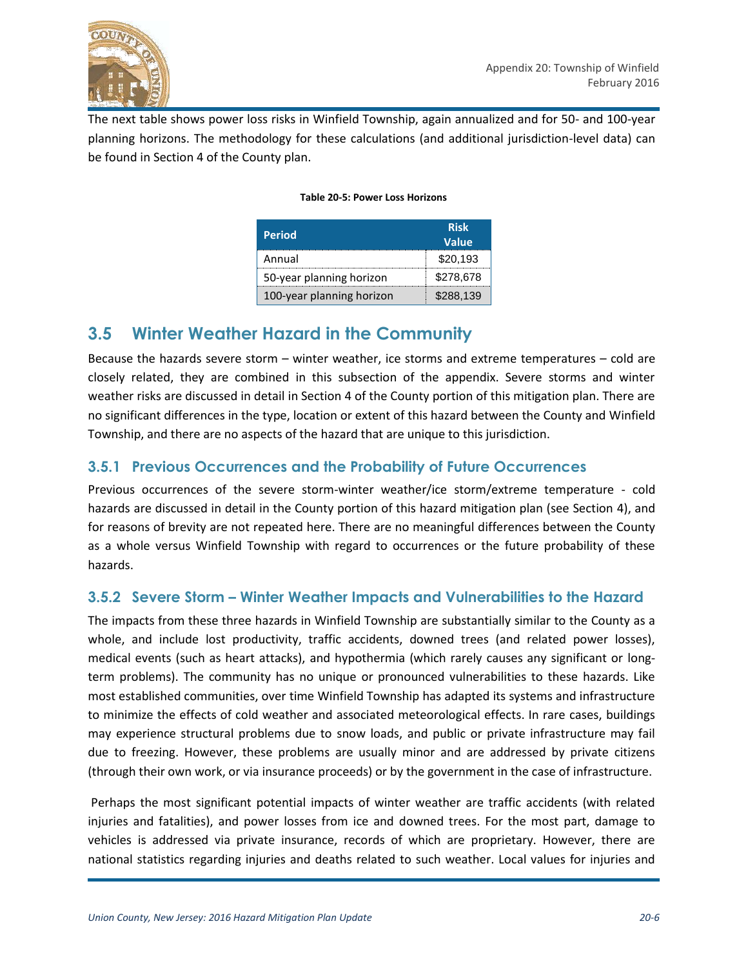

The next table shows power loss risks in Winfield Township, again annualized and for 50- and 100-year planning horizons. The methodology for these calculations (and additional jurisdiction-level data) can be found in Section 4 of the County plan.

| <b>Period</b>             | <b>Risk</b><br>Value |
|---------------------------|----------------------|
| Annual                    | \$20,193             |
| 50-year planning horizon  | \$278,678            |
| 100-year planning horizon | \$288.139            |

#### **Table 20-5: Power Loss Horizons**

### **3.5 Winter Weather Hazard in the Community**

Because the hazards severe storm – winter weather, ice storms and extreme temperatures – cold are closely related, they are combined in this subsection of the appendix. Severe storms and winter weather risks are discussed in detail in Section 4 of the County portion of this mitigation plan. There are no significant differences in the type, location or extent of this hazard between the County and Winfield Township, and there are no aspects of the hazard that are unique to this jurisdiction.

#### **3.5.1 Previous Occurrences and the Probability of Future Occurrences**

Previous occurrences of the severe storm-winter weather/ice storm/extreme temperature - cold hazards are discussed in detail in the County portion of this hazard mitigation plan (see Section 4), and for reasons of brevity are not repeated here. There are no meaningful differences between the County as a whole versus Winfield Township with regard to occurrences or the future probability of these hazards.

#### **3.5.2 Severe Storm – Winter Weather Impacts and Vulnerabilities to the Hazard**

The impacts from these three hazards in Winfield Township are substantially similar to the County as a whole, and include lost productivity, traffic accidents, downed trees (and related power losses), medical events (such as heart attacks), and hypothermia (which rarely causes any significant or longterm problems). The community has no unique or pronounced vulnerabilities to these hazards. Like most established communities, over time Winfield Township has adapted its systems and infrastructure to minimize the effects of cold weather and associated meteorological effects. In rare cases, buildings may experience structural problems due to snow loads, and public or private infrastructure may fail due to freezing. However, these problems are usually minor and are addressed by private citizens (through their own work, or via insurance proceeds) or by the government in the case of infrastructure.

Perhaps the most significant potential impacts of winter weather are traffic accidents (with related injuries and fatalities), and power losses from ice and downed trees. For the most part, damage to vehicles is addressed via private insurance, records of which are proprietary. However, there are national statistics regarding injuries and deaths related to such weather. Local values for injuries and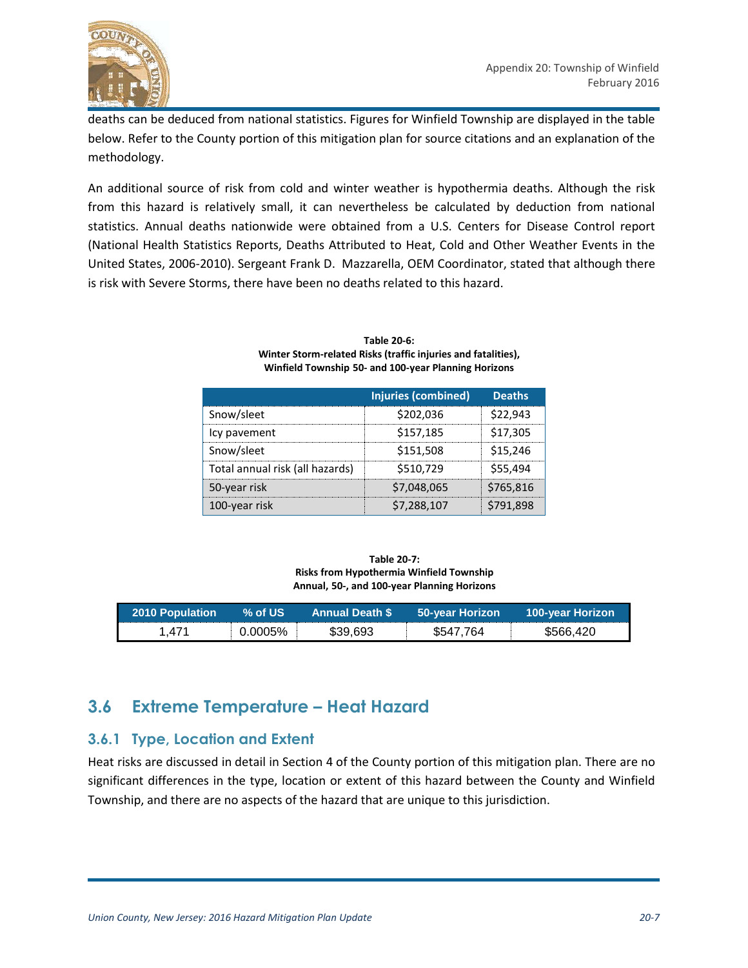

deaths can be deduced from national statistics. Figures for Winfield Township are displayed in the table below. Refer to the County portion of this mitigation plan for source citations and an explanation of the methodology.

An additional source of risk from cold and winter weather is hypothermia deaths. Although the risk from this hazard is relatively small, it can nevertheless be calculated by deduction from national statistics. Annual deaths nationwide were obtained from a U.S. Centers for Disease Control report (National Health Statistics Reports, Deaths Attributed to Heat, Cold and Other Weather Events in the United States, 2006-2010). Sergeant Frank D. Mazzarella, OEM Coordinator, stated that although there is risk with Severe Storms, there have been no deaths related to this hazard.

|                                 | Injuries (combined) | <b>Deaths</b> |
|---------------------------------|---------------------|---------------|
| Snow/sleet                      | \$202.036           | \$22.943      |
| Icy pavement                    | \$157,185           | \$17,305      |
| Snow/sleet                      | \$151,508           | \$15,246      |
| Total annual risk (all hazards) | \$510,729           | \$55,494      |
| 50-year risk                    | \$7,048,065         | \$765,816     |
| 100-year risk                   | \$7,288,107         | \$791,898     |

#### **Table 20-6: Winter Storm-related Risks (traffic injuries and fatalities), Winfield Township 50- and 100-year Planning Horizons**

| Table 20-7:                                 |
|---------------------------------------------|
| Risks from Hypothermia Winfield Township    |
| Annual, 50-, and 100-year Planning Horizons |

| 2010 Population | $\%$ of US $^{\prime}$ | <b>Annual Death S</b> | 50-year Horizon | <b>100-year Horizon</b> |
|-----------------|------------------------|-----------------------|-----------------|-------------------------|
| .471            | 0.0005%                | \$39.693              | \$547,764       | \$566.420               |

## **3.6 Extreme Temperature – Heat Hazard**

#### **3.6.1 Type, Location and Extent**

Heat risks are discussed in detail in Section 4 of the County portion of this mitigation plan. There are no significant differences in the type, location or extent of this hazard between the County and Winfield Township, and there are no aspects of the hazard that are unique to this jurisdiction.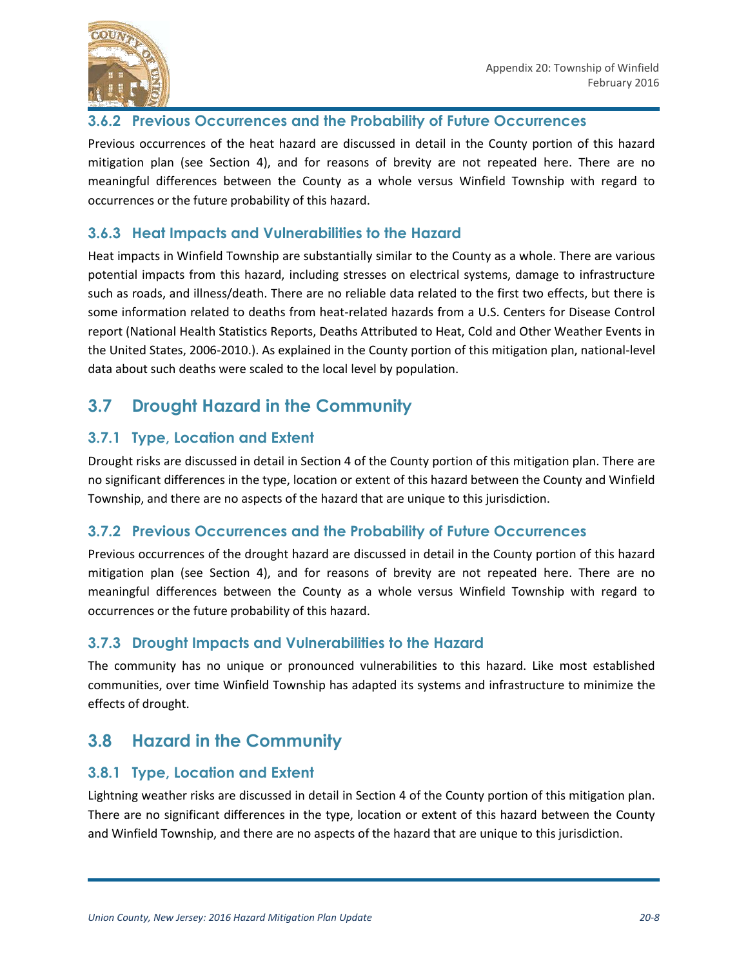

### **3.6.2 Previous Occurrences and the Probability of Future Occurrences**

Previous occurrences of the heat hazard are discussed in detail in the County portion of this hazard mitigation plan (see Section 4), and for reasons of brevity are not repeated here. There are no meaningful differences between the County as a whole versus Winfield Township with regard to occurrences or the future probability of this hazard.

### **3.6.3 Heat Impacts and Vulnerabilities to the Hazard**

Heat impacts in Winfield Township are substantially similar to the County as a whole. There are various potential impacts from this hazard, including stresses on electrical systems, damage to infrastructure such as roads, and illness/death. There are no reliable data related to the first two effects, but there is some information related to deaths from heat-related hazards from a U.S. Centers for Disease Control report (National Health Statistics Reports, Deaths Attributed to Heat, Cold and Other Weather Events in the United States, 2006-2010.). As explained in the County portion of this mitigation plan, national-level data about such deaths were scaled to the local level by population.

## **3.7 Drought Hazard in the Community**

### **3.7.1 Type, Location and Extent**

Drought risks are discussed in detail in Section 4 of the County portion of this mitigation plan. There are no significant differences in the type, location or extent of this hazard between the County and Winfield Township, and there are no aspects of the hazard that are unique to this jurisdiction.

#### **3.7.2 Previous Occurrences and the Probability of Future Occurrences**

Previous occurrences of the drought hazard are discussed in detail in the County portion of this hazard mitigation plan (see Section 4), and for reasons of brevity are not repeated here. There are no meaningful differences between the County as a whole versus Winfield Township with regard to occurrences or the future probability of this hazard.

#### **3.7.3 Drought Impacts and Vulnerabilities to the Hazard**

The community has no unique or pronounced vulnerabilities to this hazard. Like most established communities, over time Winfield Township has adapted its systems and infrastructure to minimize the effects of drought.

## **3.8 Hazard in the Community**

#### **3.8.1 Type, Location and Extent**

Lightning weather risks are discussed in detail in Section 4 of the County portion of this mitigation plan. There are no significant differences in the type, location or extent of this hazard between the County and Winfield Township, and there are no aspects of the hazard that are unique to this jurisdiction.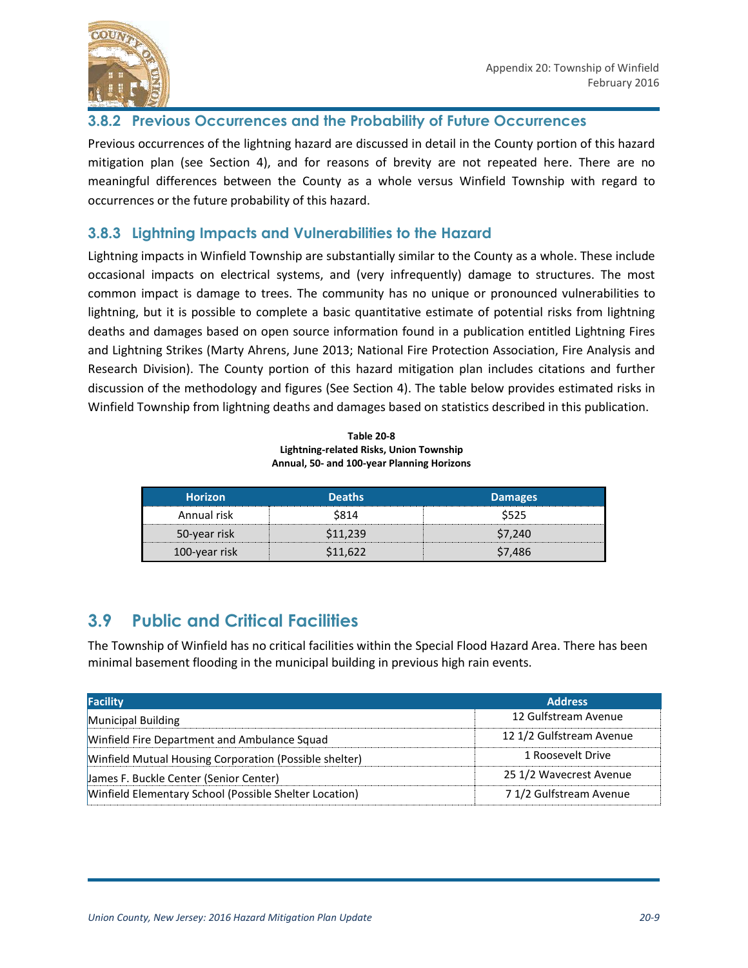

#### **3.8.2 Previous Occurrences and the Probability of Future Occurrences**

Previous occurrences of the lightning hazard are discussed in detail in the County portion of this hazard mitigation plan (see Section 4), and for reasons of brevity are not repeated here. There are no meaningful differences between the County as a whole versus Winfield Township with regard to occurrences or the future probability of this hazard.

### **3.8.3 Lightning Impacts and Vulnerabilities to the Hazard**

Lightning impacts in Winfield Township are substantially similar to the County as a whole. These include occasional impacts on electrical systems, and (very infrequently) damage to structures. The most common impact is damage to trees. The community has no unique or pronounced vulnerabilities to lightning, but it is possible to complete a basic quantitative estimate of potential risks from lightning deaths and damages based on open source information found in a publication entitled Lightning Fires and Lightning Strikes (Marty Ahrens, June 2013; National Fire Protection Association, Fire Analysis and Research Division). The County portion of this hazard mitigation plan includes citations and further discussion of the methodology and figures (See Section 4). The table below provides estimated risks in Winfield Township from lightning deaths and damages based on statistics described in this publication.

| <b>Table 20-8</b>                          |
|--------------------------------------------|
| Lightning-related Risks, Union Township    |
| Annual, 50- and 100-year Planning Horizons |

| <b>Horizon</b> | <b>Deaths</b> | <b>Damages</b> |
|----------------|---------------|----------------|
| Annual risk    | S814          | 525            |
| 50-year risk   | 11 739        | .240           |
| 100-year risk  |               | 7 486          |

## **3.9 Public and Critical Facilities**

The Township of Winfield has no critical facilities within the Special Flood Hazard Area. There has been minimal basement flooding in the municipal building in previous high rain events.

| <b>Facility</b>                                        | <b>Address</b>           |
|--------------------------------------------------------|--------------------------|
| Municipal Building                                     | 12 Gulfstream Avenue     |
| Winfield Fire Department and Ambulance Squad           | 12 1/2 Gulfstream Avenue |
| Winfield Mutual Housing Corporation (Possible shelter) | 1 Roosevelt Drive        |
| James F. Buckle Center (Senior Center)                 | 25 1/2 Wavecrest Avenue  |
| Winfield Elementary School (Possible Shelter Location) | 7 1/2 Gulfstream Avenue  |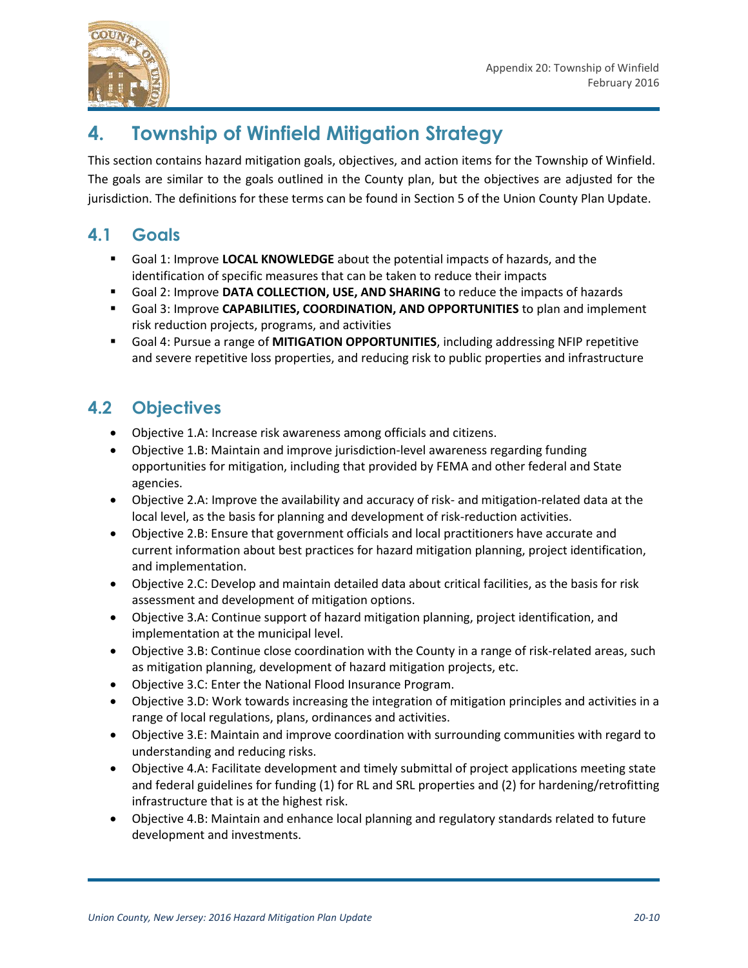



# **4. Township of Winfield Mitigation Strategy**

This section contains hazard mitigation goals, objectives, and action items for the Township of Winfield. The goals are similar to the goals outlined in the County plan, but the objectives are adjusted for the jurisdiction. The definitions for these terms can be found in Section 5 of the Union County Plan Update.

## **4.1 Goals**

- Goal 1: Improve **LOCAL KNOWLEDGE** about the potential impacts of hazards, and the identification of specific measures that can be taken to reduce their impacts
- Goal 2: Improve **DATA COLLECTION, USE, AND SHARING** to reduce the impacts of hazards
- Goal 3: Improve **CAPABILITIES, COORDINATION, AND OPPORTUNITIES** to plan and implement risk reduction projects, programs, and activities
- Goal 4: Pursue a range of **MITIGATION OPPORTUNITIES**, including addressing NFIP repetitive and severe repetitive loss properties, and reducing risk to public properties and infrastructure

## **4.2 Objectives**

- Objective 1.A: Increase risk awareness among officials and citizens.
- Objective 1.B: Maintain and improve jurisdiction-level awareness regarding funding opportunities for mitigation, including that provided by FEMA and other federal and State agencies.
- Objective 2.A: Improve the availability and accuracy of risk- and mitigation-related data at the local level, as the basis for planning and development of risk-reduction activities.
- Objective 2.B: Ensure that government officials and local practitioners have accurate and current information about best practices for hazard mitigation planning, project identification, and implementation.
- Objective 2.C: Develop and maintain detailed data about critical facilities, as the basis for risk assessment and development of mitigation options.
- Objective 3.A: Continue support of hazard mitigation planning, project identification, and implementation at the municipal level.
- Objective 3.B: Continue close coordination with the County in a range of risk-related areas, such as mitigation planning, development of hazard mitigation projects, etc.
- Objective 3.C: Enter the National Flood Insurance Program.
- Objective 3.D: Work towards increasing the integration of mitigation principles and activities in a range of local regulations, plans, ordinances and activities.
- Objective 3.E: Maintain and improve coordination with surrounding communities with regard to understanding and reducing risks.
- Objective 4.A: Facilitate development and timely submittal of project applications meeting state and federal guidelines for funding (1) for RL and SRL properties and (2) for hardening/retrofitting infrastructure that is at the highest risk.
- Objective 4.B: Maintain and enhance local planning and regulatory standards related to future development and investments.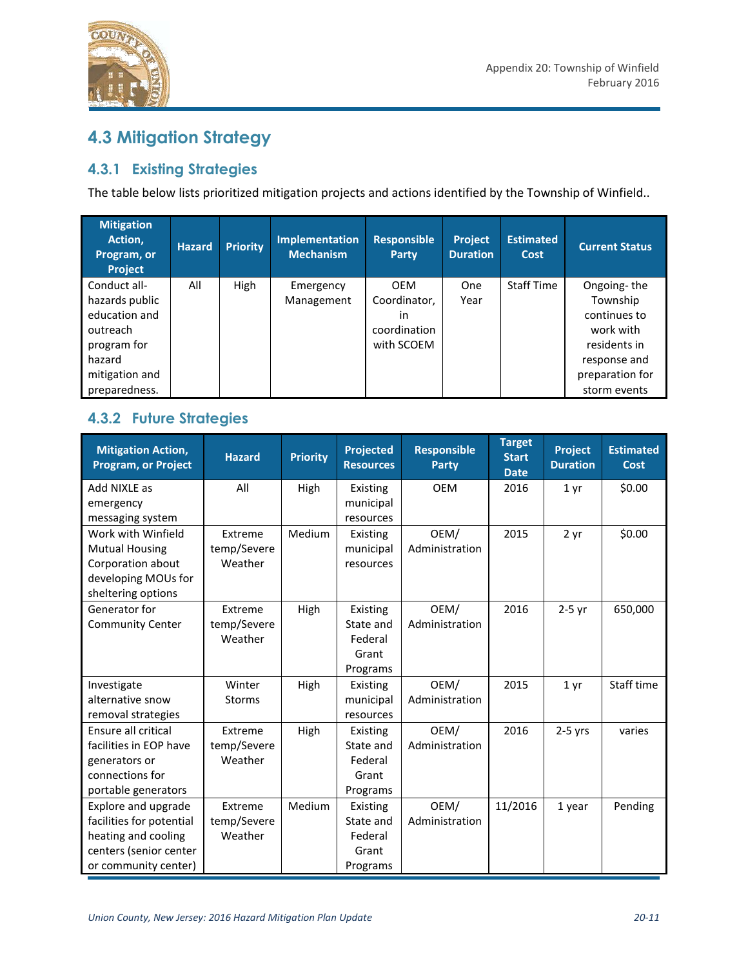

# **4.3 Mitigation Strategy**

### **4.3.1 Existing Strategies**

The table below lists prioritized mitigation projects and actions identified by the Township of Winfield..

| <b>Mitigation</b><br>Action,<br>Program, or<br><b>Project</b> | <b>Hazard</b> | <b>Priority</b> | <b>Implementation</b><br><b>Mechanism</b> | <b>Responsible</b><br><b>Party</b> | Project<br><b>Duration</b> | <b>Estimated</b><br>Cost | <b>Current Status</b> |
|---------------------------------------------------------------|---------------|-----------------|-------------------------------------------|------------------------------------|----------------------------|--------------------------|-----------------------|
| Conduct all-                                                  | All           | High            | Emergency                                 | <b>OEM</b>                         | <b>One</b>                 | <b>Staff Time</b>        | Ongoing-the           |
| hazards public                                                |               |                 | Management                                | Coordinator,                       | Year                       |                          | Township              |
| education and                                                 |               |                 |                                           | in                                 |                            |                          | continues to          |
| outreach                                                      |               |                 |                                           | coordination                       |                            |                          | work with             |
| program for                                                   |               |                 |                                           | with SCOEM                         |                            |                          | residents in          |
| hazard                                                        |               |                 |                                           |                                    |                            |                          | response and          |
| mitigation and                                                |               |                 |                                           |                                    |                            |                          | preparation for       |
| preparedness.                                                 |               |                 |                                           |                                    |                            |                          | storm events          |

### **4.3.2 Future Strategies**

| <b>Mitigation Action,</b><br><b>Program, or Project</b> | <b>Hazard</b> | <b>Priority</b> | <b>Projected</b><br><b>Resources</b> | <b>Responsible</b><br><b>Party</b> | <b>Target</b><br><b>Start</b><br><b>Date</b> | <b>Project</b><br><b>Duration</b> | <b>Estimated</b><br>Cost |
|---------------------------------------------------------|---------------|-----------------|--------------------------------------|------------------------------------|----------------------------------------------|-----------------------------------|--------------------------|
| Add NIXLE as                                            | All           | High            | Existing                             | <b>OEM</b>                         | 2016                                         | 1 <sub>yr</sub>                   | \$0.00                   |
| emergency                                               |               |                 | municipal                            |                                    |                                              |                                   |                          |
| messaging system                                        |               |                 | resources                            |                                    |                                              |                                   |                          |
| Work with Winfield                                      | Extreme       | Medium          | Existing                             | OEM/                               | 2015                                         | 2 yr                              | \$0.00                   |
| <b>Mutual Housing</b>                                   | temp/Severe   |                 | municipal                            | Administration                     |                                              |                                   |                          |
| Corporation about                                       | Weather       |                 | resources                            |                                    |                                              |                                   |                          |
| developing MOUs for                                     |               |                 |                                      |                                    |                                              |                                   |                          |
| sheltering options                                      |               |                 |                                      |                                    |                                              |                                   |                          |
| Generator for                                           | Extreme       | High            | Existing                             | OEM/                               | 2016                                         | $2-5$ yr                          | 650,000                  |
| <b>Community Center</b>                                 | temp/Severe   |                 | State and                            | Administration                     |                                              |                                   |                          |
|                                                         | Weather       |                 | Federal                              |                                    |                                              |                                   |                          |
|                                                         |               |                 | Grant                                |                                    |                                              |                                   |                          |
|                                                         |               |                 | Programs                             |                                    |                                              |                                   |                          |
| Investigate                                             | Winter        | High            | Existing                             | OEM/                               | 2015                                         | 1 <sub>yr</sub>                   | Staff time               |
| alternative snow                                        | <b>Storms</b> |                 | municipal                            | Administration                     |                                              |                                   |                          |
| removal strategies                                      |               |                 | resources                            |                                    |                                              |                                   |                          |
| Ensure all critical                                     | Extreme       | High            | Existing                             | OEM/                               | 2016                                         | $2-5$ yrs                         | varies                   |
| facilities in EOP have                                  | temp/Severe   |                 | State and                            | Administration                     |                                              |                                   |                          |
| generators or                                           | Weather       |                 | Federal                              |                                    |                                              |                                   |                          |
| connections for                                         |               |                 | Grant                                |                                    |                                              |                                   |                          |
| portable generators                                     |               |                 | Programs                             |                                    |                                              |                                   |                          |
| Explore and upgrade                                     | Extreme       | Medium          | Existing                             | OEM/                               | 11/2016                                      | 1 year                            | Pending                  |
| facilities for potential                                | temp/Severe   |                 | State and                            | Administration                     |                                              |                                   |                          |
| heating and cooling                                     | Weather       |                 | Federal                              |                                    |                                              |                                   |                          |
| centers (senior center                                  |               |                 | Grant                                |                                    |                                              |                                   |                          |
| or community center)                                    |               |                 | Programs                             |                                    |                                              |                                   |                          |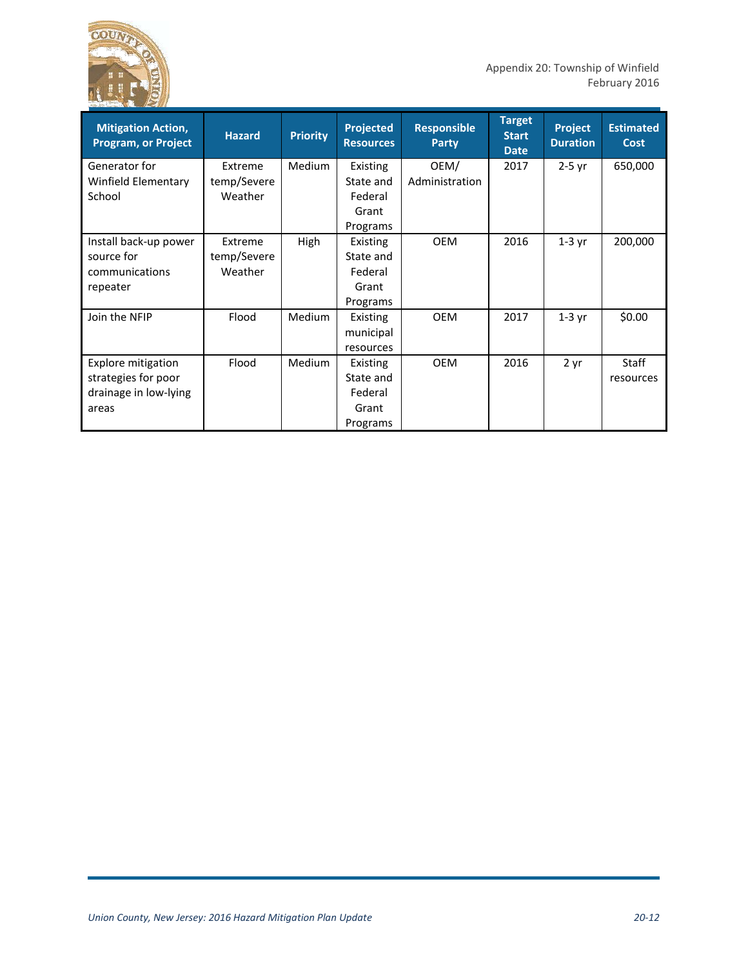

| <b>Mitigation Action,</b><br><b>Program, or Project</b> | <b>Hazard</b> | <b>Priority</b> | <b>Projected</b><br><b>Resources</b> | <b>Responsible</b><br>Party | <b>Target</b><br><b>Start</b><br><b>Date</b> | Project<br><b>Duration</b> | <b>Estimated</b><br>Cost |
|---------------------------------------------------------|---------------|-----------------|--------------------------------------|-----------------------------|----------------------------------------------|----------------------------|--------------------------|
| Generator for                                           | Extreme       | Medium          | Existing                             | OEM/                        | 2017                                         | $2-5$ yr                   | 650,000                  |
| Winfield Elementary                                     | temp/Severe   |                 | State and                            | Administration              |                                              |                            |                          |
| School                                                  | Weather       |                 | Federal                              |                             |                                              |                            |                          |
|                                                         |               |                 | Grant                                |                             |                                              |                            |                          |
|                                                         |               |                 | Programs                             |                             |                                              |                            |                          |
| Install back-up power                                   | Extreme       | High            | Existing                             | <b>OEM</b>                  | 2016                                         | $1-3$ yr                   | 200,000                  |
| source for                                              | temp/Severe   |                 | State and                            |                             |                                              |                            |                          |
| communications                                          | Weather       |                 | Federal                              |                             |                                              |                            |                          |
| repeater                                                |               |                 | Grant                                |                             |                                              |                            |                          |
|                                                         |               |                 | Programs                             |                             |                                              |                            |                          |
| Join the NFIP                                           | Flood         | Medium          | Existing                             | <b>OEM</b>                  | 2017                                         | $1-3$ yr                   | \$0.00                   |
|                                                         |               |                 | municipal                            |                             |                                              |                            |                          |
|                                                         |               |                 | resources                            |                             |                                              |                            |                          |
| <b>Explore mitigation</b>                               | Flood         | <b>Medium</b>   | Existing                             | <b>OEM</b>                  | 2016                                         | 2 yr                       | <b>Staff</b>             |
| strategies for poor                                     |               |                 | State and                            |                             |                                              |                            | resources                |
| drainage in low-lying                                   |               |                 | Federal                              |                             |                                              |                            |                          |
| areas                                                   |               |                 | Grant                                |                             |                                              |                            |                          |
|                                                         |               |                 | Programs                             |                             |                                              |                            |                          |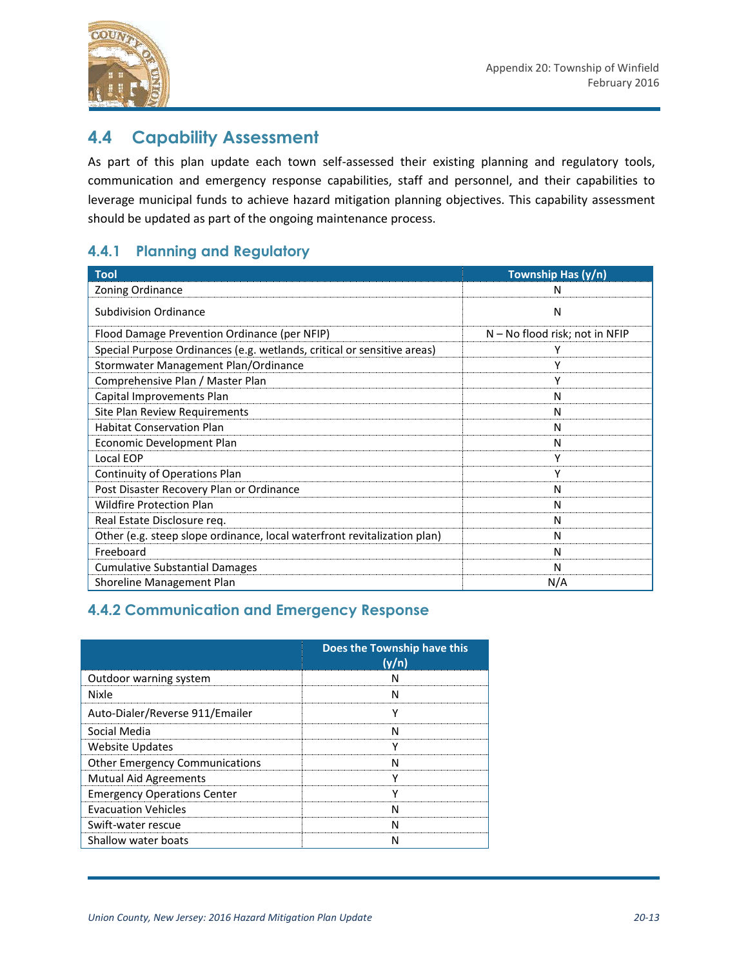

### **4.4 Capability Assessment**

As part of this plan update each town self-assessed their existing planning and regulatory tools, communication and emergency response capabilities, staff and personnel, and their capabilities to leverage municipal funds to achieve hazard mitigation planning objectives. This capability assessment should be updated as part of the ongoing maintenance process.

### **4.4.1 Planning and Regulatory**

| <b>Tool</b>                                                              | Township Has (y/n)             |
|--------------------------------------------------------------------------|--------------------------------|
| Zoning Ordinance                                                         | N                              |
| <b>Subdivision Ordinance</b>                                             | N                              |
| Flood Damage Prevention Ordinance (per NFIP)                             | N – No flood risk; not in NFIP |
| Special Purpose Ordinances (e.g. wetlands, critical or sensitive areas)  |                                |
| Stormwater Management Plan/Ordinance                                     | γ                              |
| Comprehensive Plan / Master Plan                                         | γ                              |
| Capital Improvements Plan                                                | N                              |
| Site Plan Review Requirements                                            | N                              |
| <b>Habitat Conservation Plan</b>                                         | N                              |
| Economic Development Plan                                                | N                              |
| Local EOP                                                                | Υ                              |
| Continuity of Operations Plan                                            | Υ                              |
| Post Disaster Recovery Plan or Ordinance                                 | Ν                              |
| <b>Wildfire Protection Plan</b>                                          | N                              |
| Real Estate Disclosure req.                                              | N                              |
| Other (e.g. steep slope ordinance, local waterfront revitalization plan) | N                              |
| Freeboard                                                                | N                              |
| <b>Cumulative Substantial Damages</b>                                    | N                              |
| Shoreline Management Plan                                                | N/A                            |

### **4.4.2 Communication and Emergency Response**

|                                       | Does the Township have this<br>(y/n) |
|---------------------------------------|--------------------------------------|
| Outdoor warning system                |                                      |
| <b>Nixle</b>                          |                                      |
| Auto-Dialer/Reverse 911/Emailer       |                                      |
| Social Media                          |                                      |
| Website Updates                       |                                      |
| <b>Other Emergency Communications</b> |                                      |
| <b>Mutual Aid Agreements</b>          |                                      |
| <b>Emergency Operations Center</b>    |                                      |
| <b>Evacuation Vehicles</b>            |                                      |
| Swift-water rescue                    |                                      |
| Shallow water boats                   |                                      |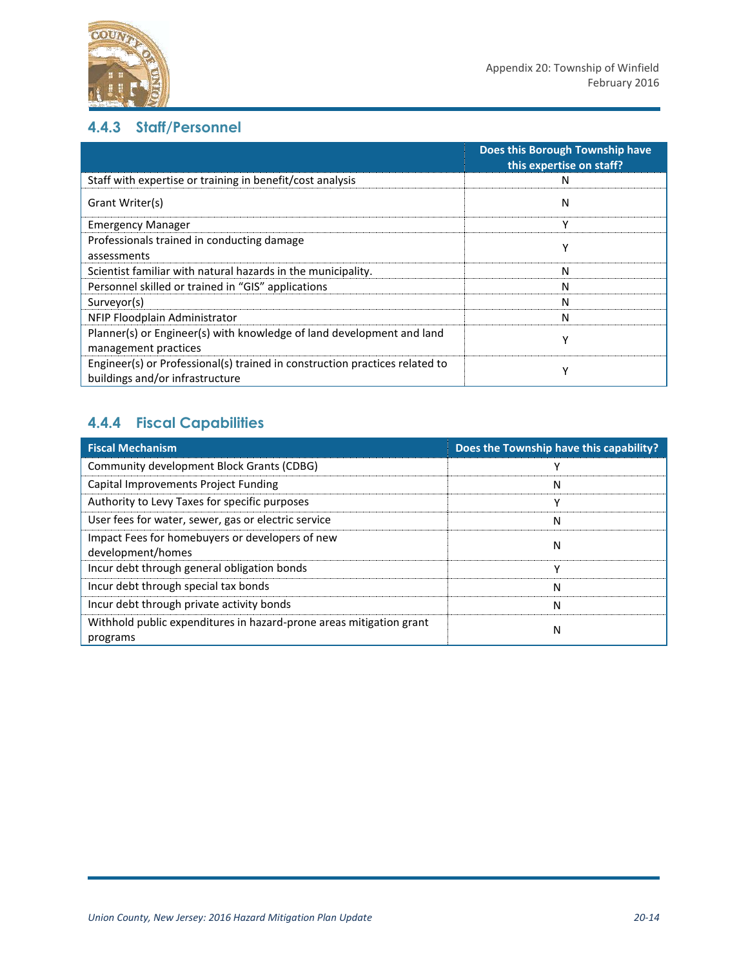

### **4.4.3 Staff/Personnel**

|                                                                                                                | Does this Borough Township have<br>this expertise on staff? |  |  |
|----------------------------------------------------------------------------------------------------------------|-------------------------------------------------------------|--|--|
| Staff with expertise or training in benefit/cost analysis                                                      | N                                                           |  |  |
| Grant Writer(s)                                                                                                | N                                                           |  |  |
| <b>Emergency Manager</b>                                                                                       | ۷                                                           |  |  |
| Professionals trained in conducting damage                                                                     | Υ                                                           |  |  |
| assessments                                                                                                    |                                                             |  |  |
| Scientist familiar with natural hazards in the municipality.                                                   | N                                                           |  |  |
| Personnel skilled or trained in "GIS" applications                                                             | N                                                           |  |  |
| Surveyor(s)                                                                                                    | N                                                           |  |  |
| NFIP Floodplain Administrator                                                                                  | N                                                           |  |  |
| Planner(s) or Engineer(s) with knowledge of land development and land                                          | ۷                                                           |  |  |
| management practices                                                                                           |                                                             |  |  |
| Engineer(s) or Professional(s) trained in construction practices related to<br>buildings and/or infrastructure | ۷                                                           |  |  |

## **4.4.4 Fiscal Capabilities**

| <b>Fiscal Mechanism</b>                                                         | Does the Township have this capability? |
|---------------------------------------------------------------------------------|-----------------------------------------|
| Community development Block Grants (CDBG)                                       |                                         |
| Capital Improvements Project Funding                                            | N                                       |
| Authority to Levy Taxes for specific purposes                                   |                                         |
| User fees for water, sewer, gas or electric service                             | N                                       |
| Impact Fees for homebuyers or developers of new<br>development/homes            | N                                       |
| Incur debt through general obligation bonds                                     |                                         |
| Incur debt through special tax bonds                                            | N                                       |
| Incur debt through private activity bonds                                       | N                                       |
| Withhold public expenditures in hazard-prone areas mitigation grant<br>programs | N                                       |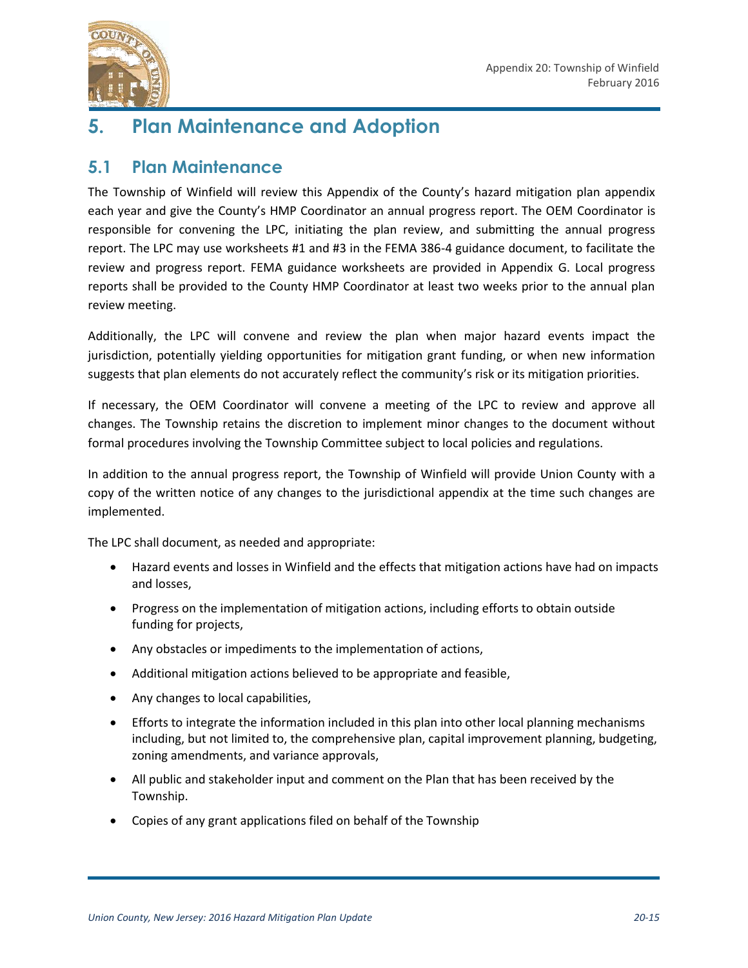

# **5. Plan Maintenance and Adoption**

### **5.1 Plan Maintenance**

The Township of Winfield will review this Appendix of the County's hazard mitigation plan appendix each year and give the County's HMP Coordinator an annual progress report. The OEM Coordinator is responsible for convening the LPC, initiating the plan review, and submitting the annual progress report. The LPC may use worksheets #1 and #3 in the FEMA 386-4 guidance document, to facilitate the review and progress report. FEMA guidance worksheets are provided in Appendix G. Local progress reports shall be provided to the County HMP Coordinator at least two weeks prior to the annual plan review meeting.

Additionally, the LPC will convene and review the plan when major hazard events impact the jurisdiction, potentially yielding opportunities for mitigation grant funding, or when new information suggests that plan elements do not accurately reflect the community's risk or its mitigation priorities.

If necessary, the OEM Coordinator will convene a meeting of the LPC to review and approve all changes. The Township retains the discretion to implement minor changes to the document without formal procedures involving the Township Committee subject to local policies and regulations.

In addition to the annual progress report, the Township of Winfield will provide Union County with a copy of the written notice of any changes to the jurisdictional appendix at the time such changes are implemented.

The LPC shall document, as needed and appropriate:

- Hazard events and losses in Winfield and the effects that mitigation actions have had on impacts and losses,
- Progress on the implementation of mitigation actions, including efforts to obtain outside funding for projects,
- Any obstacles or impediments to the implementation of actions,
- Additional mitigation actions believed to be appropriate and feasible,
- Any changes to local capabilities,
- Efforts to integrate the information included in this plan into other local planning mechanisms including, but not limited to, the comprehensive plan, capital improvement planning, budgeting, zoning amendments, and variance approvals,
- All public and stakeholder input and comment on the Plan that has been received by the Township.
- Copies of any grant applications filed on behalf of the Township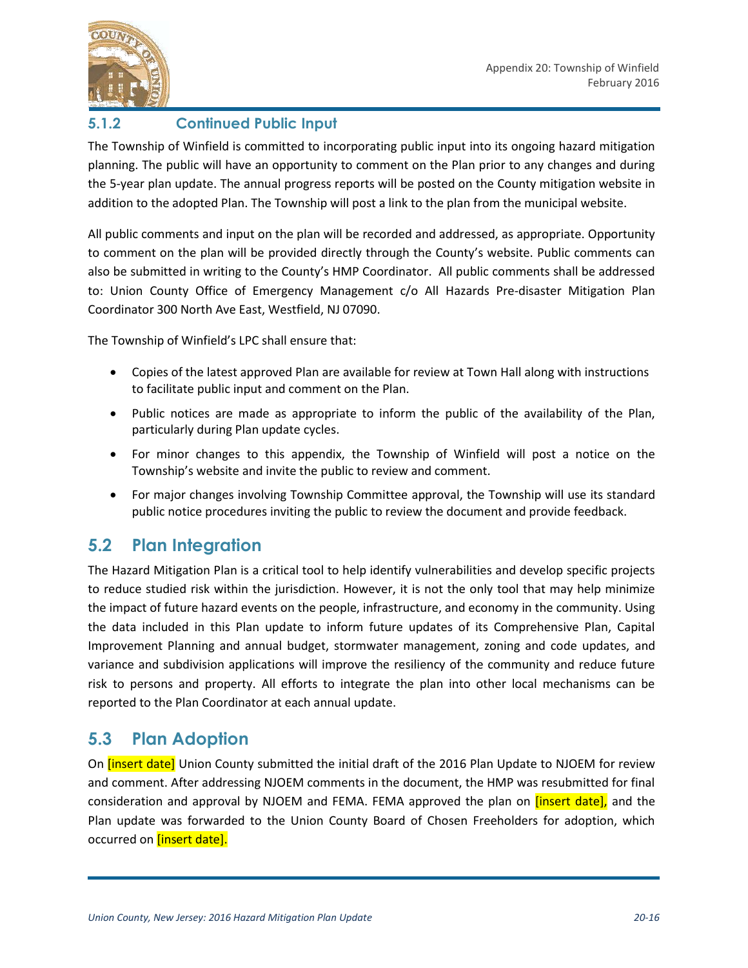

### **5.1.2 Continued Public Input**

The Township of Winfield is committed to incorporating public input into its ongoing hazard mitigation planning. The public will have an opportunity to comment on the Plan prior to any changes and during the 5-year plan update. The annual progress reports will be posted on the County mitigation website in addition to the adopted Plan. The Township will post a link to the plan from the municipal website.

All public comments and input on the plan will be recorded and addressed, as appropriate. Opportunity to comment on the plan will be provided directly through the County's website. Public comments can also be submitted in writing to the County's HMP Coordinator. All public comments shall be addressed to: Union County Office of Emergency Management c/o All Hazards Pre-disaster Mitigation Plan Coordinator 300 North Ave East, Westfield, NJ 07090.

The Township of Winfield's LPC shall ensure that:

- Copies of the latest approved Plan are available for review at Town Hall along with instructions to facilitate public input and comment on the Plan.
- Public notices are made as appropriate to inform the public of the availability of the Plan, particularly during Plan update cycles.
- For minor changes to this appendix, the Township of Winfield will post a notice on the Township's website and invite the public to review and comment.
- For major changes involving Township Committee approval, the Township will use its standard public notice procedures inviting the public to review the document and provide feedback.

### **5.2 Plan Integration**

The Hazard Mitigation Plan is a critical tool to help identify vulnerabilities and develop specific projects to reduce studied risk within the jurisdiction. However, it is not the only tool that may help minimize the impact of future hazard events on the people, infrastructure, and economy in the community. Using the data included in this Plan update to inform future updates of its Comprehensive Plan, Capital Improvement Planning and annual budget, stormwater management, zoning and code updates, and variance and subdivision applications will improve the resiliency of the community and reduce future risk to persons and property. All efforts to integrate the plan into other local mechanisms can be reported to the Plan Coordinator at each annual update.

### **5.3 Plan Adoption**

On *[insert date]* Union County submitted the initial draft of the 2016 Plan Update to NJOEM for review and comment. After addressing NJOEM comments in the document, the HMP was resubmitted for final consideration and approval by NJOEM and FEMA. FEMA approved the plan on *[insert date]*, and the Plan update was forwarded to the Union County Board of Chosen Freeholders for adoption, which occurred on [insert date].